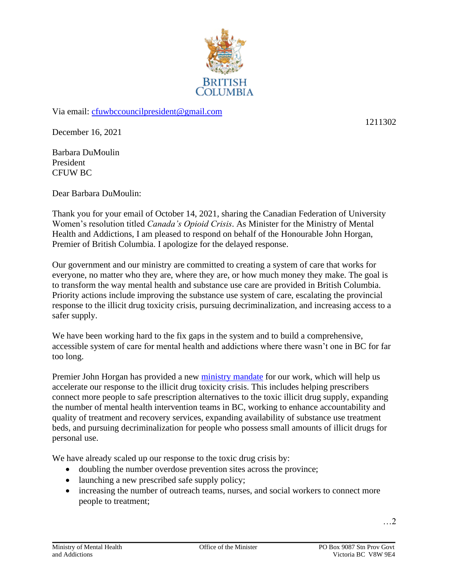

Via email: [cfuwbccouncilpresident@gmail.com](mailto:cfuwbccouncilpresident@gmail.com)

December 16, 2021

Barbara DuMoulin President CFUW BC

Dear Barbara DuMoulin:

Thank you for your email of October 14, 2021, sharing the Canadian Federation of University Women's resolution titled *Canada's Opioid Crisis*. As Minister for the Ministry of Mental Health and Addictions, I am pleased to respond on behalf of the Honourable John Horgan, Premier of British Columbia. I apologize for the delayed response.

Our government and our ministry are committed to creating a system of care that works for everyone, no matter who they are, where they are, or how much money they make. The goal is to transform the way mental health and substance use care are provided in British Columbia. Priority actions include improving the substance use system of care, escalating the provincial response to the illicit drug toxicity crisis, pursuing decriminalization, and increasing access to a safer supply.

We have been working hard to the fix gaps in the system and to build a comprehensive, accessible system of care for mental health and addictions where there wasn't one in BC for far too long.

Premier John Horgan has provided a new [ministry mandate](https://news.gov.bc.ca/files/MMHA-Malcolmson-mandate.pdf) for our work, which will help us accelerate our response to the illicit drug toxicity crisis. This includes helping prescribers connect more people to safe prescription alternatives to the toxic illicit drug supply, expanding the number of mental health intervention teams in BC, working to enhance accountability and quality of treatment and recovery services, expanding availability of substance use treatment beds, and pursuing decriminalization for people who possess small amounts of illicit drugs for personal use.

We have already scaled up our response to the toxic drug crisis by:

- doubling the number overdose prevention sites across the province;
- launching a new prescribed safe supply policy;
- increasing the number of outreach teams, nurses, and social workers to connect more people to treatment;

…2

1211302